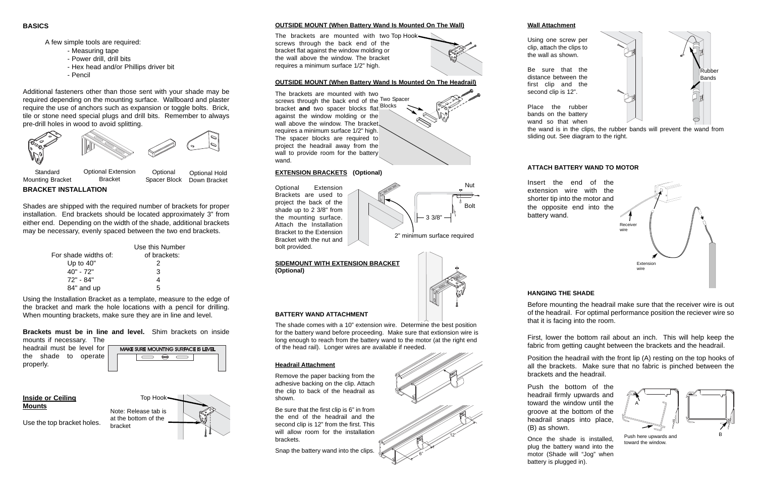# **OUTSIDE MOUNT (When Battery Wand Is Mounted On The Wall)**

The brackets are mounted with two Top Hook screws through the back end of the bracket flat against the window molding or the wall above the window. The bracket requires a minimum surface 1/2" high.



## **EXTENSION BRACKETS (Optional)**

Optional Extension Brackets are used to project the back of the shade up to 2 3/8" from the mounting surface. Attach the Installation Bracket to the Extension Bracket with the nut and bolt provided.

#### **OUTSIDE MOUNT (When Battery Wand Is Mounted On The Headrail)**

The brackets are mounted with two screws through the back end of the Two Spacer bracket **and** two spacer blocks flat Blocks against the window molding or the wall above the window. The bracket requires a minimum surface 1/2" high. The spacer blocks are required to project the headrail away from the wall to provide room for the battery wand.

#### **SIDEMOUNT WITH EXTENSION BRACKET (Optional)**



6"

12"



# **Headrail Attachment**

Remove the paper backing from the adhesive backing on the clip. Attach the clip to back of the headrail as shown.

Be sure that the first clip is 6" in from the end of the headrail and the second clip is 12" from the first. This will allow room for the installation brackets.

Snap the battery wand into the clips.

#### **Wall Attachment**

Using one screw per clip, attach the clips to

the wall as shown.

Be sure that the distance between the first clip and the second clip is 12".

Place the rubber bands on the battery wand so that when the wand is in the clips, the rubber bands will prevent the wand from sliding out. See diagram to the right.

## **HANGING THE SHADE**

Before mounting the headrail make sure that the receiver wire is out of the headrail. For optimal performance position the reciever wire so that it is facing into the room.

First, lower the bottom rail about an inch. This will help keep the fabric from getting caught between the brackets and the headrail.

Position the headrail with the front lip (A) resting on the top hooks of all the brackets. Make sure that no fabric is pinched between the brackets and the headrail.

Push the bottom of the headrail firmly upwards and toward the window until the groove at the bottom of the headrail snaps into place, (B) as shown.

Once the shade is installed, plug the battery wand into the motor (Shade will "Jog" when battery is plugged in).

A few simple tools are required:

- Measuring tape
- Power drill, drill bits
- Hex head and/or Phillips driver bit
- Pencil

Additional fasteners other than those sent with your shade may be required depending on the mounting surface. Wallboard and plaster require the use of anchors such as expansion or toggle bolts. Brick, tile or stone need special plugs and drill bits. Remember to always pre-drill holes in wood to avoid splitting.

**BRACKET INSTALLATION**

Shades are shipped with the required number of brackets for proper installation. End brackets should be located approximately 3" from either end. Depending on the width of the shade, additional brackets may be necessary, evenly spaced between the two end brackets.

|                      | Use this Number |
|----------------------|-----------------|
| For shade widths of: | of brackets:    |
| Up to $40"$          | 2               |
| 40" - 72"            | 3               |
| 72" - 84"            | 4               |
| 84" and up           | 5               |

Mounting Bracket Bracket



Spacer Block Down Bracket

Using the Installation Bracket as a template, measure to the edge of the bracket and mark the hole locations with a pencil for drilling. When mounting brackets, make sure they are in line and level.

**Brackets must be in line and level.** Shim brackets on inside mounts if necessary. The

| headrail must be level for |  |  |  |
|----------------------------|--|--|--|
| the shade to operate       |  |  |  |
| properly.                  |  |  |  |





**Inside or Ceiling Mount s**

Use the top bracket holes.

Nut

Bolt

2" minimum surface required

3 3/8"



Push here upwards and toward the window.



Rubber Bands

The shade comes with a 10" extension wire. Determine the best position for the battery wand before proceeding. Make sure that extionsion wire is long enough to reach from the battery wand to the motor (at the right end of the head rail). Longer wires are available if needed.

## **ATTACH BATTERY WAND TO MOTOR**

Insert the end of the extension wire with the shorter tip into the motor and the opposite end into the battery wand.